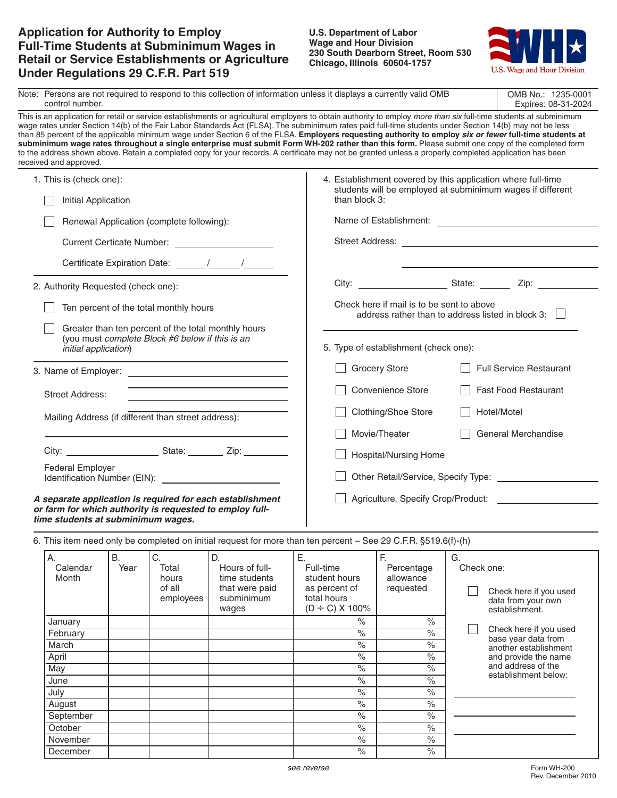# **Application for Authority to Employ Full-Time Students at Subminimum Wages in Retail or Service Establishments or Agriculture Under Regulations 29 C.F.R. Part 519**

#### **U.S. Department of Labor Wage and Hour Division 230 South Dearborn Street, Room 530 Chicago, Illinois 60604-1757**



|                                                                                                | Note: Persons are not required to respond to this collection of information unless it displays a currently valid OMB<br>control number. |                                                                                                        |                                                                                                                       |                                                                                                                                                                                                                                                                                                                    |                                                                                                                                                                                                                               |                  |                                                                                                                                                                                                                                                                                                                                                                                                                                                                                   |  |
|------------------------------------------------------------------------------------------------|-----------------------------------------------------------------------------------------------------------------------------------------|--------------------------------------------------------------------------------------------------------|-----------------------------------------------------------------------------------------------------------------------|--------------------------------------------------------------------------------------------------------------------------------------------------------------------------------------------------------------------------------------------------------------------------------------------------------------------|-------------------------------------------------------------------------------------------------------------------------------------------------------------------------------------------------------------------------------|------------------|-----------------------------------------------------------------------------------------------------------------------------------------------------------------------------------------------------------------------------------------------------------------------------------------------------------------------------------------------------------------------------------------------------------------------------------------------------------------------------------|--|
| received and approved.                                                                         |                                                                                                                                         |                                                                                                        |                                                                                                                       | wage rates under Section 14(b) of the Fair Labor Standards Act (FLSA). The subminimum rates paid full-time students under Section 14(b) may not be less<br>to the address shown above. Retain a completed copy for your records. A certificate may not be granted unless a properly completed application has been |                                                                                                                                                                                                                               |                  | This is an application for retail or service establishments or agricultural employers to obtain authority to employ more than six full-time students at subminimum<br>than 85 percent of the applicable minimum wage under Section 6 of the FLSA. Employers requesting authority to employ six or fewer full-time students at<br>subminimum wage rates throughout a single enterprise must submit Form WH-202 rather than this form. Please submit one copy of the completed form |  |
| 1. This is (check one):<br>Initial Application                                                 |                                                                                                                                         |                                                                                                        |                                                                                                                       | 4. Establishment covered by this application where full-time<br>students will be employed at subminimum wages if different<br>than block 3:                                                                                                                                                                        |                                                                                                                                                                                                                               |                  |                                                                                                                                                                                                                                                                                                                                                                                                                                                                                   |  |
|                                                                                                |                                                                                                                                         |                                                                                                        |                                                                                                                       |                                                                                                                                                                                                                                                                                                                    |                                                                                                                                                                                                                               |                  |                                                                                                                                                                                                                                                                                                                                                                                                                                                                                   |  |
|                                                                                                |                                                                                                                                         | Renewal Application (complete following):                                                              |                                                                                                                       | Name of Establishment:                                                                                                                                                                                                                                                                                             |                                                                                                                                                                                                                               |                  |                                                                                                                                                                                                                                                                                                                                                                                                                                                                                   |  |
|                                                                                                |                                                                                                                                         |                                                                                                        |                                                                                                                       |                                                                                                                                                                                                                                                                                                                    |                                                                                                                                                                                                                               |                  |                                                                                                                                                                                                                                                                                                                                                                                                                                                                                   |  |
|                                                                                                |                                                                                                                                         |                                                                                                        |                                                                                                                       |                                                                                                                                                                                                                                                                                                                    |                                                                                                                                                                                                                               |                  |                                                                                                                                                                                                                                                                                                                                                                                                                                                                                   |  |
| 2. Authority Requested (check one):                                                            |                                                                                                                                         |                                                                                                        |                                                                                                                       |                                                                                                                                                                                                                                                                                                                    | City: City: City: City: City: City: City: City: City: City: City: City: City: City: City: City: City: City: City: City: City: City: City: City: City: City: City: City: City: City: City: City: City: City: City: City: City: |                  |                                                                                                                                                                                                                                                                                                                                                                                                                                                                                   |  |
|                                                                                                |                                                                                                                                         | Ten percent of the total monthly hours                                                                 |                                                                                                                       |                                                                                                                                                                                                                                                                                                                    | Check here if mail is to be sent to above<br>address rather than to address listed in block 3:                                                                                                                                |                  |                                                                                                                                                                                                                                                                                                                                                                                                                                                                                   |  |
| initial application)                                                                           |                                                                                                                                         | Greater than ten percent of the total monthly hours<br>(you must complete Block #6 below if this is an |                                                                                                                       |                                                                                                                                                                                                                                                                                                                    | 5. Type of establishment (check one):                                                                                                                                                                                         |                  |                                                                                                                                                                                                                                                                                                                                                                                                                                                                                   |  |
|                                                                                                |                                                                                                                                         |                                                                                                        |                                                                                                                       |                                                                                                                                                                                                                                                                                                                    | <b>Grocery Store</b>                                                                                                                                                                                                          |                  | <b>Full Service Restaurant</b>                                                                                                                                                                                                                                                                                                                                                                                                                                                    |  |
| <b>Street Address:</b>                                                                         |                                                                                                                                         |                                                                                                        |                                                                                                                       |                                                                                                                                                                                                                                                                                                                    | Convenience Store<br><b>Fast Food Restaurant</b>                                                                                                                                                                              |                  |                                                                                                                                                                                                                                                                                                                                                                                                                                                                                   |  |
|                                                                                                |                                                                                                                                         |                                                                                                        | <u> 1989 - Johann Barbara, martin amerikan basar dan berasal dan berasal dalam basar dalam basar dalam basar dala</u> |                                                                                                                                                                                                                                                                                                                    | Clothing/Shoe Store<br>Hotel/Motel                                                                                                                                                                                            |                  |                                                                                                                                                                                                                                                                                                                                                                                                                                                                                   |  |
|                                                                                                |                                                                                                                                         | Mailing Address (if different than street address):                                                    |                                                                                                                       |                                                                                                                                                                                                                                                                                                                    |                                                                                                                                                                                                                               |                  |                                                                                                                                                                                                                                                                                                                                                                                                                                                                                   |  |
|                                                                                                |                                                                                                                                         |                                                                                                        |                                                                                                                       |                                                                                                                                                                                                                                                                                                                    | Movie/Theater<br>General Merchandise                                                                                                                                                                                          |                  |                                                                                                                                                                                                                                                                                                                                                                                                                                                                                   |  |
|                                                                                                |                                                                                                                                         |                                                                                                        |                                                                                                                       |                                                                                                                                                                                                                                                                                                                    | Hospital/Nursing Home                                                                                                                                                                                                         |                  |                                                                                                                                                                                                                                                                                                                                                                                                                                                                                   |  |
| <b>Federal Employer</b>                                                                        |                                                                                                                                         |                                                                                                        | Identification Number (EIN): New York Canada and Separation Number (EIN):                                             |                                                                                                                                                                                                                                                                                                                    |                                                                                                                                                                                                                               |                  |                                                                                                                                                                                                                                                                                                                                                                                                                                                                                   |  |
| or farm for which authority is requested to employ full-<br>time students at subminimum wages. |                                                                                                                                         |                                                                                                        | A separate application is required for each establishment                                                             |                                                                                                                                                                                                                                                                                                                    |                                                                                                                                                                                                                               |                  |                                                                                                                                                                                                                                                                                                                                                                                                                                                                                   |  |
|                                                                                                |                                                                                                                                         |                                                                                                        |                                                                                                                       | 6. This item need only be completed on initial request for more than ten percent - See 29 C.F.R. §519.6(f)-(h)                                                                                                                                                                                                     |                                                                                                                                                                                                                               |                  |                                                                                                                                                                                                                                                                                                                                                                                                                                                                                   |  |
| А.<br>Calendar<br>Month                                                                        | B.<br>Year                                                                                                                              | C.<br>Total<br>hours<br>of all<br>employees                                                            | D.<br>Hours of full-<br>time students<br>that were paid<br>subminimum<br>wages                                        | Ε.<br>Full-time<br>student hours<br>as percent of<br>total hours<br>$(D \div C)$ X 100%                                                                                                                                                                                                                            | F.<br>Percentage<br>allowance<br>requested                                                                                                                                                                                    | G.<br>Check one: | Check here if you used<br>data from your own<br>establishment.                                                                                                                                                                                                                                                                                                                                                                                                                    |  |
| January                                                                                        |                                                                                                                                         |                                                                                                        |                                                                                                                       | $\%$                                                                                                                                                                                                                                                                                                               | $\%$                                                                                                                                                                                                                          |                  |                                                                                                                                                                                                                                                                                                                                                                                                                                                                                   |  |
| February                                                                                       |                                                                                                                                         |                                                                                                        |                                                                                                                       | $\frac{1}{2}$                                                                                                                                                                                                                                                                                                      | $\frac{1}{\sqrt{2}}$                                                                                                                                                                                                          |                  | Check here if you used<br>base year data from                                                                                                                                                                                                                                                                                                                                                                                                                                     |  |
| March                                                                                          |                                                                                                                                         |                                                                                                        |                                                                                                                       | $\frac{1}{\sqrt{2}}$                                                                                                                                                                                                                                                                                               | $\%$                                                                                                                                                                                                                          |                  | another establishment                                                                                                                                                                                                                                                                                                                                                                                                                                                             |  |
| April                                                                                          |                                                                                                                                         |                                                                                                        |                                                                                                                       | $\frac{9}{6}$                                                                                                                                                                                                                                                                                                      | $\frac{1}{2}$                                                                                                                                                                                                                 |                  | and provide the name<br>and address of the                                                                                                                                                                                                                                                                                                                                                                                                                                        |  |
| May                                                                                            |                                                                                                                                         |                                                                                                        |                                                                                                                       | $\frac{9}{6}$                                                                                                                                                                                                                                                                                                      | $\frac{1}{\sqrt{2}}$                                                                                                                                                                                                          |                  | establishment below:                                                                                                                                                                                                                                                                                                                                                                                                                                                              |  |
| June                                                                                           |                                                                                                                                         |                                                                                                        |                                                                                                                       | $\frac{1}{\sqrt{2}}$                                                                                                                                                                                                                                                                                               | $\%$                                                                                                                                                                                                                          |                  |                                                                                                                                                                                                                                                                                                                                                                                                                                                                                   |  |
| July                                                                                           |                                                                                                                                         |                                                                                                        |                                                                                                                       | $\frac{1}{\sqrt{2}}$                                                                                                                                                                                                                                                                                               | $\%$                                                                                                                                                                                                                          |                  |                                                                                                                                                                                                                                                                                                                                                                                                                                                                                   |  |
| August                                                                                         |                                                                                                                                         |                                                                                                        |                                                                                                                       | $\frac{1}{\sqrt{2}}$<br>$\frac{1}{\sqrt{2}}$                                                                                                                                                                                                                                                                       | $\%$<br>$\%$                                                                                                                                                                                                                  |                  |                                                                                                                                                                                                                                                                                                                                                                                                                                                                                   |  |
| September<br>October                                                                           |                                                                                                                                         |                                                                                                        |                                                                                                                       | $\frac{\ }{\ }$                                                                                                                                                                                                                                                                                                    | $\%$                                                                                                                                                                                                                          |                  |                                                                                                                                                                                                                                                                                                                                                                                                                                                                                   |  |
| November                                                                                       |                                                                                                                                         |                                                                                                        |                                                                                                                       | $\frac{\ }{\ }$                                                                                                                                                                                                                                                                                                    | $\frac{1}{\sqrt{2}}$                                                                                                                                                                                                          |                  |                                                                                                                                                                                                                                                                                                                                                                                                                                                                                   |  |
|                                                                                                |                                                                                                                                         |                                                                                                        |                                                                                                                       |                                                                                                                                                                                                                                                                                                                    |                                                                                                                                                                                                                               |                  |                                                                                                                                                                                                                                                                                                                                                                                                                                                                                   |  |

December % %